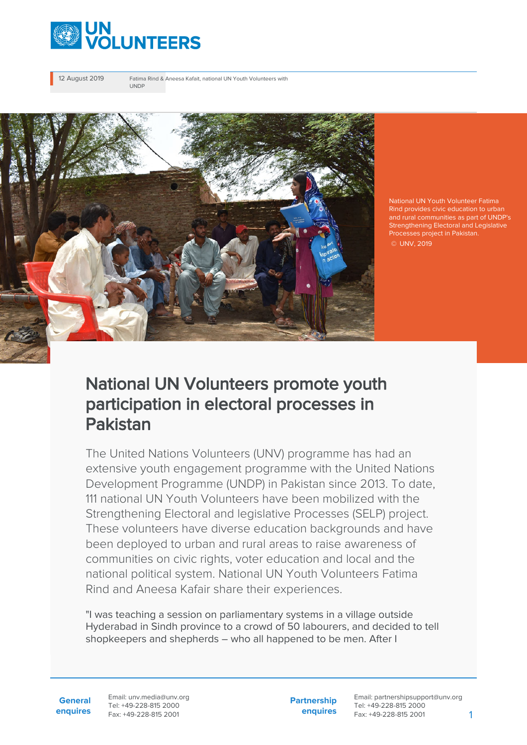

12 August 2019 Fatima Rind & Aneesa Kafait, national UN Youth Volunteers with UNDP



National UN Youth Volunteer Fatima Rind provides civic education to urban and rural communities as part of UNDP's Strengthening Electoral and Legislative © UNV, 2019

## National UN Volunteers promote youth participation in electoral processes in Pakistan

The United Nations Volunteers (UNV) programme has had an extensive youth engagement programme with the United Nations Development Programme (UNDP) in Pakistan since 2013. To date, 111 national UN Youth Volunteers have been mobilized with the Strengthening Electoral and legislative Processes (SELP) project. These volunteers have diverse education backgrounds and have been deployed to urban and rural areas to raise awareness of communities on civic rights, voter education and local and the national political system. National UN Youth Volunteers Fatima Rind and Aneesa Kafair share their experiences.

"I was teaching a session on parliamentary systems in a village outside Hyderabad in Sindh province to a crowd of 50 labourers, and decided to tell shopkeepers and shepherds – who all happened to be men. After I

**General enquires** Email: unv.media@unv.org Tel: +49-228-815 2000 Fax: +49-228-815 2001

**Partnership enquires**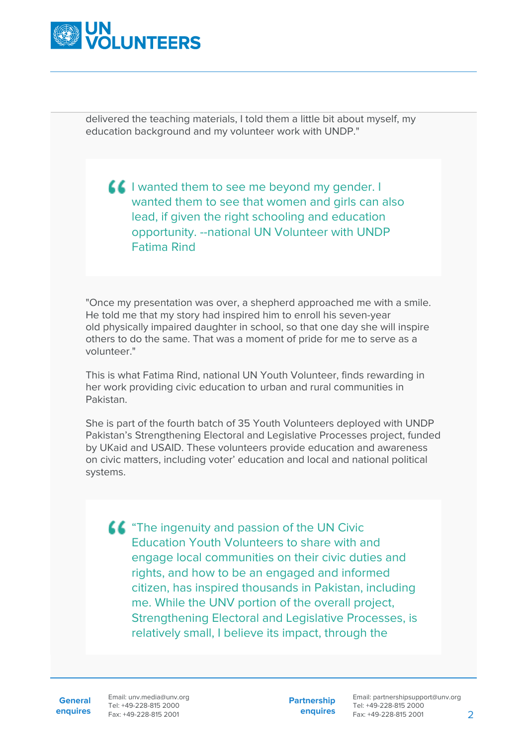

delivered the teaching materials, I told them a little bit about myself, my education background and my volunteer work with UNDP."

**I** wanted them to see me beyond my gender. I wanted them to see that women and girls can also lead, if given the right schooling and education opportunity. --national UN Volunteer with UNDP Fatima Rind

"Once my presentation was over, a shepherd approached me with a smile. He told me that my story had inspired him to enroll his seven-year old physically impaired daughter in school, so that one day she will inspire others to do the same. That was a moment of pride for me to serve as a volunteer."

This is what Fatima Rind, national UN Youth Volunteer, finds rewarding in her work providing civic education to urban and rural communities in Pakistan.

She is part of the fourth batch of 35 Youth Volunteers deployed with UNDP Pakistan's Strengthening Electoral and Legislative Processes project, funded by UKaid and USAID. These volunteers provide education and awareness on civic matters, including voter' education and local and national political systems.

**44** "The ingenuity and passion of the UN Civic Education Youth Volunteers to share with and engage local communities on their civic duties and rights, and how to be an engaged and informed citizen, has inspired thousands in Pakistan, including me. While the UNV portion of the overall project, Strengthening Electoral and Legislative Processes, is relatively small, I believe its impact, through the

**General**

**enquires** Fax: +49-228-815 2001 Email: unv.media@unv.org Tel: +49-228-815 2000

**Partnership enquires**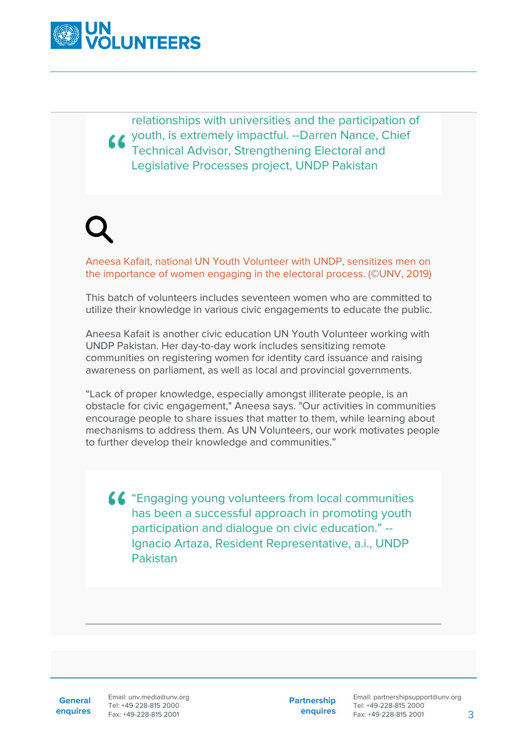

relationships with universities and the participation of youth, is extremely impactful. --Darren Nance, Chief Technical Advisor, Strengthening Electoral and Legislative Processes project, UNDP Pakistan

Aneesa Kafait, national UN Youth Volunteer with UNDP, sensitizes men on the importance of women engaging in the electoral process. (©UNV, 2019)

This batch of volunteers includes seventeen women who are committed to utilize their knowledge in various civic engagements to educate the public.

Aneesa Kafait is another civic education UN Youth Volunteer working with UNDP Pakistan. Her day-to-day work includes sensitizing remote communities on registering women for identity card issuance and raising awareness on parliament, as well as local and provincial governments.

"Lack of proper knowledge, especially amongst illiterate people, is an obstacle for civic engagement," Aneesa says. "Our activities in communities encourage people to share issues that matter to them, while learning about mechanisms to address them. As UN Volunteers, our work motivates people to further develop their knowledge and communities."

"Engaging young volunteers from local communities has been a successful approach in promoting youth participation and dialogue on civic education." -- Ignacio Artaza, Resident Representative, a.i., UNDP Pakistan

**General enquires** Email: unv.media@unv.org Tel: +49-228-815 2000 Fax: +49-228-815 2001

**Partnership enquires**